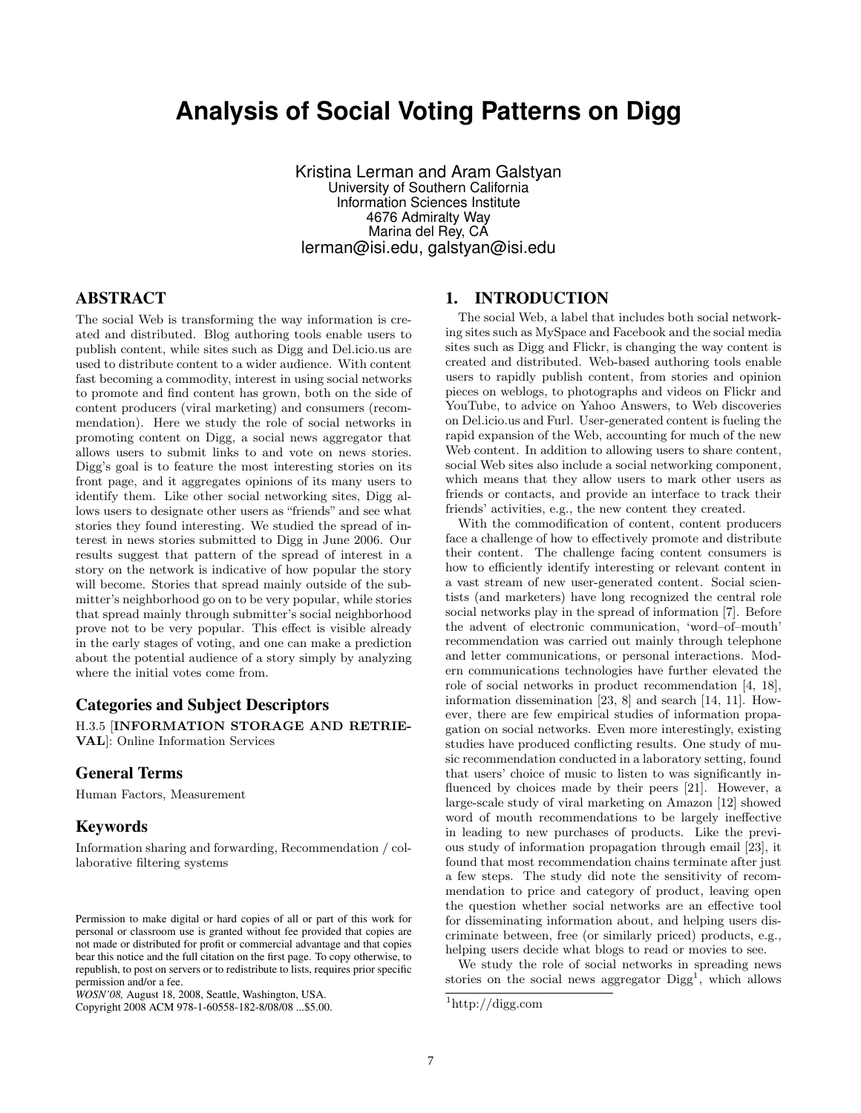# **Analysis of Social Voting Patterns on Digg**

Kristina Lerman and Aram Galstyan University of Southern California Information Sciences Institute 4676 Admiralty Way Marina del Rey, CA lerman@isi.edu, galstyan@isi.edu

# ABSTRACT

The social Web is transforming the way information is created and distributed. Blog authoring tools enable users to publish content, while sites such as Digg and Del.icio.us are used to distribute content to a wider audience. With content fast becoming a commodity, interest in using social networks to promote and find content has grown, both on the side of content producers (viral marketing) and consumers (recommendation). Here we study the role of social networks in promoting content on Digg, a social news aggregator that allows users to submit links to and vote on news stories. Digg's goal is to feature the most interesting stories on its front page, and it aggregates opinions of its many users to identify them. Like other social networking sites, Digg allows users to designate other users as "friends" and see what stories they found interesting. We studied the spread of interest in news stories submitted to Digg in June 2006. Our results suggest that pattern of the spread of interest in a story on the network is indicative of how popular the story will become. Stories that spread mainly outside of the submitter's neighborhood go on to be very popular, while stories that spread mainly through submitter's social neighborhood prove not to be very popular. This effect is visible already in the early stages of voting, and one can make a prediction about the potential audience of a story simply by analyzing where the initial votes come from.

## Categories and Subject Descriptors

H.3.5 [INFORMATION STORAGE AND RETRIE-VAL]: Online Information Services

#### General Terms

Human Factors, Measurement

#### Keywords

Information sharing and forwarding, Recommendation / collaborative filtering systems

Copyright 2008 ACM 978-1-60558-182-8/08/08 ...\$5.00.

## 1. INTRODUCTION

The social Web, a label that includes both social networking sites such as MySpace and Facebook and the social media sites such as Digg and Flickr, is changing the way content is created and distributed. Web-based authoring tools enable users to rapidly publish content, from stories and opinion pieces on weblogs, to photographs and videos on Flickr and YouTube, to advice on Yahoo Answers, to Web discoveries on Del.icio.us and Furl. User-generated content is fueling the rapid expansion of the Web, accounting for much of the new Web content. In addition to allowing users to share content, social Web sites also include a social networking component, which means that they allow users to mark other users as friends or contacts, and provide an interface to track their friends' activities, e.g., the new content they created.

With the commodification of content, content producers face a challenge of how to effectively promote and distribute their content. The challenge facing content consumers is how to efficiently identify interesting or relevant content in a vast stream of new user-generated content. Social scientists (and marketers) have long recognized the central role social networks play in the spread of information [7]. Before the advent of electronic communication, 'word–of–mouth' recommendation was carried out mainly through telephone and letter communications, or personal interactions. Modern communications technologies have further elevated the role of social networks in product recommendation [4, 18], information dissemination [23, 8] and search [14, 11]. However, there are few empirical studies of information propagation on social networks. Even more interestingly, existing studies have produced conflicting results. One study of music recommendation conducted in a laboratory setting, found that users' choice of music to listen to was significantly influenced by choices made by their peers [21]. However, a large-scale study of viral marketing on Amazon [12] showed word of mouth recommendations to be largely ineffective in leading to new purchases of products. Like the previous study of information propagation through email [23], it found that most recommendation chains terminate after just a few steps. The study did note the sensitivity of recommendation to price and category of product, leaving open the question whether social networks are an effective tool for disseminating information about, and helping users discriminate between, free (or similarly priced) products, e.g., helping users decide what blogs to read or movies to see.

We study the role of social networks in spreading news stories on the social news aggregator  $\text{Dig}^1$ , which allows

Permission to make digital or hard copies of all or part of this work for personal or classroom use is granted without fee provided that copies are not made or distributed for profit or commercial advantage and that copies bear this notice and the full citation on the first page. To copy otherwise, to republish, to post on servers or to redistribute to lists, requires prior specific permission and/or a fee.

*WOSN'08,* August 18, 2008, Seattle, Washington, USA.

 $1$ http://digg.com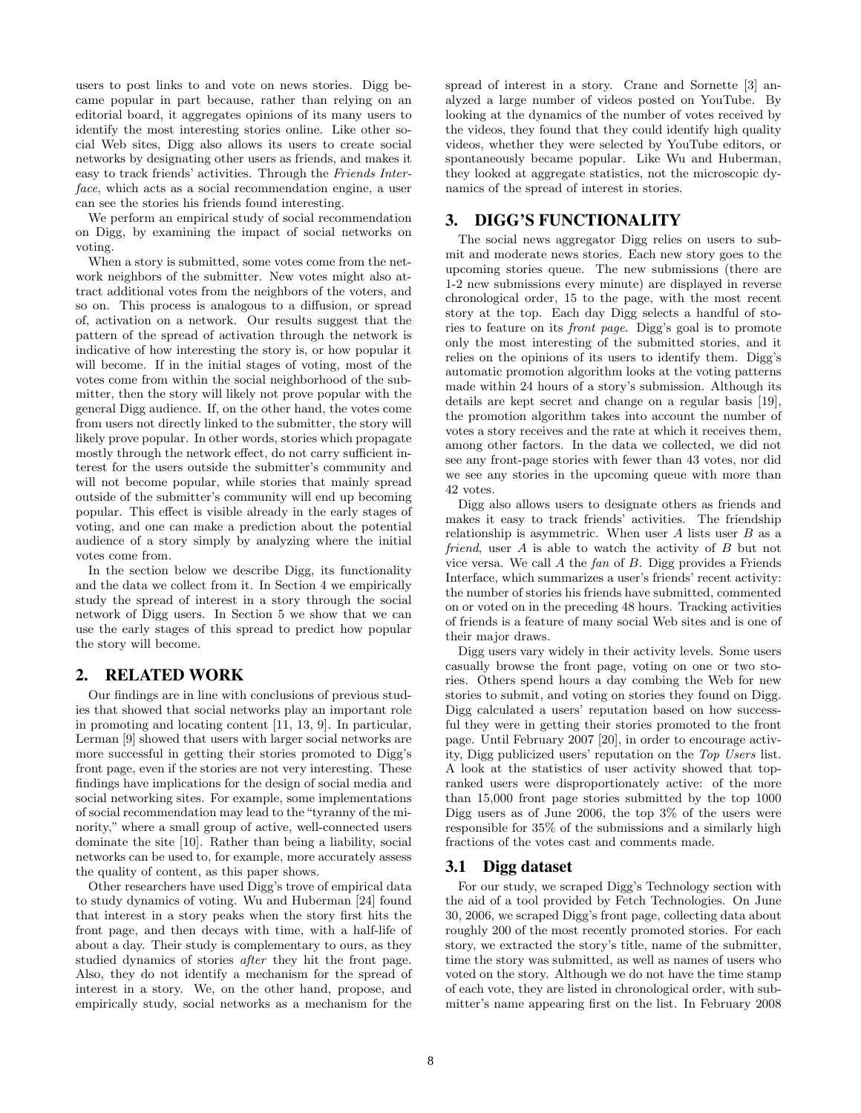users to post links to and vote on news stories. Digg became popular in part because, rather than relying on an editorial board, it aggregates opinions of its many users to identify the most interesting stories online. Like other social Web sites, Digg also allows its users to create social networks by designating other users as friends, and makes it easy to track friends' activities. Through the Friends Interface, which acts as a social recommendation engine, a user can see the stories his friends found interesting.

We perform an empirical study of social recommendation on Digg, by examining the impact of social networks on voting.

When a story is submitted, some votes come from the network neighbors of the submitter. New votes might also attract additional votes from the neighbors of the voters, and so on. This process is analogous to a diffusion, or spread of, activation on a network. Our results suggest that the pattern of the spread of activation through the network is indicative of how interesting the story is, or how popular it will become. If in the initial stages of voting, most of the votes come from within the social neighborhood of the submitter, then the story will likely not prove popular with the general Digg audience. If, on the other hand, the votes come from users not directly linked to the submitter, the story will likely prove popular. In other words, stories which propagate mostly through the network effect, do not carry sufficient interest for the users outside the submitter's community and will not become popular, while stories that mainly spread outside of the submitter's community will end up becoming popular. This effect is visible already in the early stages of voting, and one can make a prediction about the potential audience of a story simply by analyzing where the initial votes come from.

In the section below we describe Digg, its functionality and the data we collect from it. In Section 4 we empirically study the spread of interest in a story through the social network of Digg users. In Section 5 we show that we can use the early stages of this spread to predict how popular the story will become.

## 2. RELATED WORK

Our findings are in line with conclusions of previous studies that showed that social networks play an important role in promoting and locating content [11, 13, 9]. In particular, Lerman [9] showed that users with larger social networks are more successful in getting their stories promoted to Digg's front page, even if the stories are not very interesting. These findings have implications for the design of social media and social networking sites. For example, some implementations of social recommendation may lead to the "tyranny of the minority," where a small group of active, well-connected users dominate the site [10]. Rather than being a liability, social networks can be used to, for example, more accurately assess the quality of content, as this paper shows.

Other researchers have used Digg's trove of empirical data to study dynamics of voting. Wu and Huberman [24] found that interest in a story peaks when the story first hits the front page, and then decays with time, with a half-life of about a day. Their study is complementary to ours, as they studied dynamics of stories after they hit the front page. Also, they do not identify a mechanism for the spread of interest in a story. We, on the other hand, propose, and empirically study, social networks as a mechanism for the spread of interest in a story. Crane and Sornette [3] analyzed a large number of videos posted on YouTube. By looking at the dynamics of the number of votes received by the videos, they found that they could identify high quality videos, whether they were selected by YouTube editors, or spontaneously became popular. Like Wu and Huberman, they looked at aggregate statistics, not the microscopic dynamics of the spread of interest in stories.

## 3. DIGG'S FUNCTIONALITY

The social news aggregator Digg relies on users to submit and moderate news stories. Each new story goes to the upcoming stories queue. The new submissions (there are 1-2 new submissions every minute) are displayed in reverse chronological order, 15 to the page, with the most recent story at the top. Each day Digg selects a handful of stories to feature on its front page. Digg's goal is to promote only the most interesting of the submitted stories, and it relies on the opinions of its users to identify them. Digg's automatic promotion algorithm looks at the voting patterns made within 24 hours of a story's submission. Although its details are kept secret and change on a regular basis [19], the promotion algorithm takes into account the number of votes a story receives and the rate at which it receives them, among other factors. In the data we collected, we did not see any front-page stories with fewer than 43 votes, nor did we see any stories in the upcoming queue with more than 42 votes.

Digg also allows users to designate others as friends and makes it easy to track friends' activities. The friendship relationship is asymmetric. When user  $A$  lists user  $B$  as a friend, user A is able to watch the activity of B but not vice versa. We call A the fan of B. Digg provides a Friends Interface, which summarizes a user's friends' recent activity: the number of stories his friends have submitted, commented on or voted on in the preceding 48 hours. Tracking activities of friends is a feature of many social Web sites and is one of their major draws.

Digg users vary widely in their activity levels. Some users casually browse the front page, voting on one or two stories. Others spend hours a day combing the Web for new stories to submit, and voting on stories they found on Digg. Digg calculated a users' reputation based on how successful they were in getting their stories promoted to the front page. Until February 2007 [20], in order to encourage activity, Digg publicized users' reputation on the Top Users list. A look at the statistics of user activity showed that topranked users were disproportionately active: of the more than 15,000 front page stories submitted by the top 1000 Digg users as of June 2006, the top 3% of the users were responsible for 35% of the submissions and a similarly high fractions of the votes cast and comments made.

#### 3.1 Digg dataset

For our study, we scraped Digg's Technology section with the aid of a tool provided by Fetch Technologies. On June 30, 2006, we scraped Digg's front page, collecting data about roughly 200 of the most recently promoted stories. For each story, we extracted the story's title, name of the submitter, time the story was submitted, as well as names of users who voted on the story. Although we do not have the time stamp of each vote, they are listed in chronological order, with submitter's name appearing first on the list. In February 2008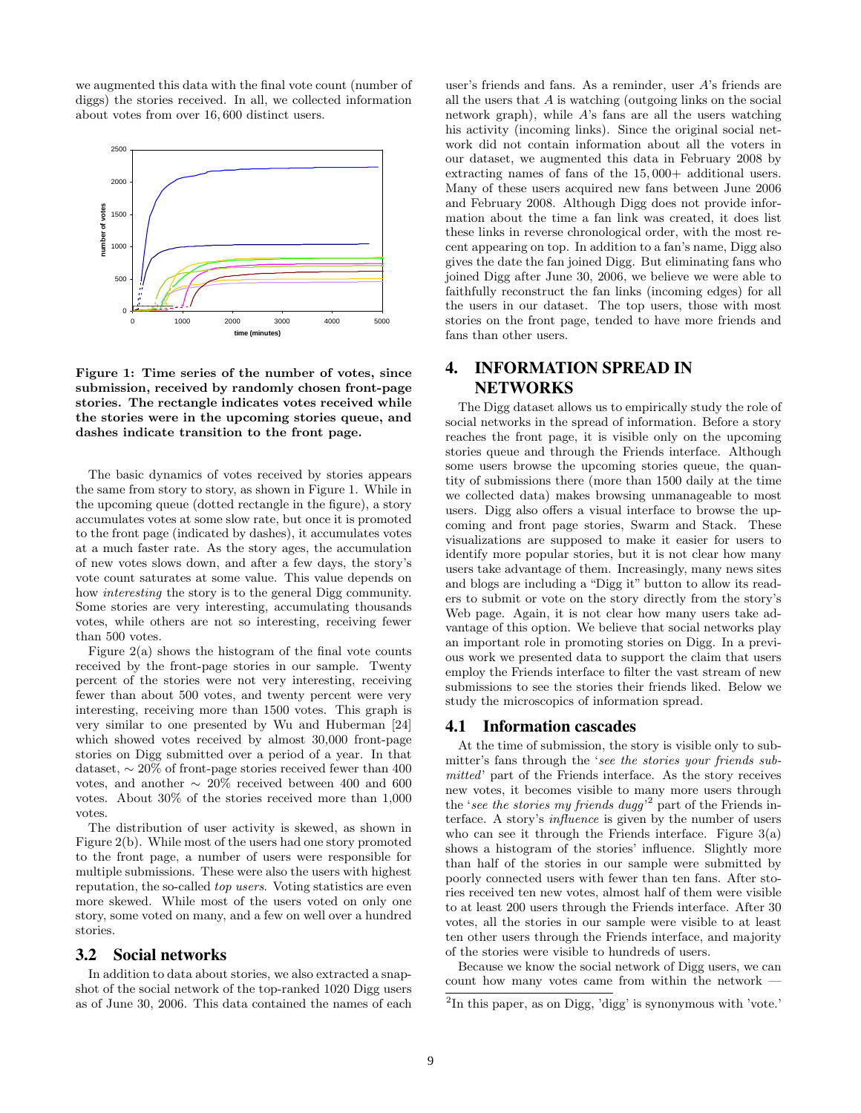we augmented this data with the final vote count (number of diggs) the stories received. In all, we collected information about votes from over 16, 600 distinct users.



Figure 1: Time series of the number of votes, since submission, received by randomly chosen front-page stories. The rectangle indicates votes received while the stories were in the upcoming stories queue, and dashes indicate transition to the front page.

The basic dynamics of votes received by stories appears the same from story to story, as shown in Figure 1. While in the upcoming queue (dotted rectangle in the figure), a story accumulates votes at some slow rate, but once it is promoted to the front page (indicated by dashes), it accumulates votes at a much faster rate. As the story ages, the accumulation of new votes slows down, and after a few days, the story's vote count saturates at some value. This value depends on how interesting the story is to the general Digg community. Some stories are very interesting, accumulating thousands votes, while others are not so interesting, receiving fewer than 500 votes.

Figure  $2(a)$  shows the histogram of the final vote counts received by the front-page stories in our sample. Twenty percent of the stories were not very interesting, receiving fewer than about 500 votes, and twenty percent were very interesting, receiving more than 1500 votes. This graph is very similar to one presented by Wu and Huberman [24] which showed votes received by almost 30,000 front-page stories on Digg submitted over a period of a year. In that dataset,  $\sim 20\%$  of front-page stories received fewer than 400 votes, and another  $\sim 20\%$  received between 400 and 600 votes. About 30% of the stories received more than 1,000 votes.

The distribution of user activity is skewed, as shown in Figure 2(b). While most of the users had one story promoted to the front page, a number of users were responsible for multiple submissions. These were also the users with highest reputation, the so-called top users. Voting statistics are even more skewed. While most of the users voted on only one story, some voted on many, and a few on well over a hundred stories.

#### 3.2 Social networks

In addition to data about stories, we also extracted a snapshot of the social network of the top-ranked 1020 Digg users as of June 30, 2006. This data contained the names of each

user's friends and fans. As a reminder, user A's friends are all the users that  $A$  is watching (outgoing links on the social network graph), while A's fans are all the users watching his activity (incoming links). Since the original social network did not contain information about all the voters in our dataset, we augmented this data in February 2008 by extracting names of fans of the  $15,000+$  additional users. Many of these users acquired new fans between June 2006 and February 2008. Although Digg does not provide information about the time a fan link was created, it does list these links in reverse chronological order, with the most recent appearing on top. In addition to a fan's name, Digg also gives the date the fan joined Digg. But eliminating fans who joined Digg after June 30, 2006, we believe we were able to faithfully reconstruct the fan links (incoming edges) for all the users in our dataset. The top users, those with most stories on the front page, tended to have more friends and fans than other users.

## 4. INFORMATION SPREAD IN **NETWORKS**

The Digg dataset allows us to empirically study the role of social networks in the spread of information. Before a story reaches the front page, it is visible only on the upcoming stories queue and through the Friends interface. Although some users browse the upcoming stories queue, the quantity of submissions there (more than 1500 daily at the time we collected data) makes browsing unmanageable to most users. Digg also offers a visual interface to browse the upcoming and front page stories, Swarm and Stack. These visualizations are supposed to make it easier for users to identify more popular stories, but it is not clear how many users take advantage of them. Increasingly, many news sites and blogs are including a "Digg it" button to allow its readers to submit or vote on the story directly from the story's Web page. Again, it is not clear how many users take advantage of this option. We believe that social networks play an important role in promoting stories on Digg. In a previous work we presented data to support the claim that users employ the Friends interface to filter the vast stream of new submissions to see the stories their friends liked. Below we study the microscopics of information spread.

#### 4.1 Information cascades

At the time of submission, the story is visible only to submitter's fans through the 'see the stories your friends submitted' part of the Friends interface. As the story receives new votes, it becomes visible to many more users through the 'see the stories my friends dugg<sup>'2</sup> part of the Friends interface. A story's influence is given by the number of users who can see it through the Friends interface. Figure  $3(a)$ shows a histogram of the stories' influence. Slightly more than half of the stories in our sample were submitted by poorly connected users with fewer than ten fans. After stories received ten new votes, almost half of them were visible to at least 200 users through the Friends interface. After 30 votes, all the stories in our sample were visible to at least ten other users through the Friends interface, and majority of the stories were visible to hundreds of users.

Because we know the social network of Digg users, we can count how many votes came from within the network —

<sup>&</sup>lt;sup>2</sup>In this paper, as on Digg, 'digg' is synonymous with 'vote.'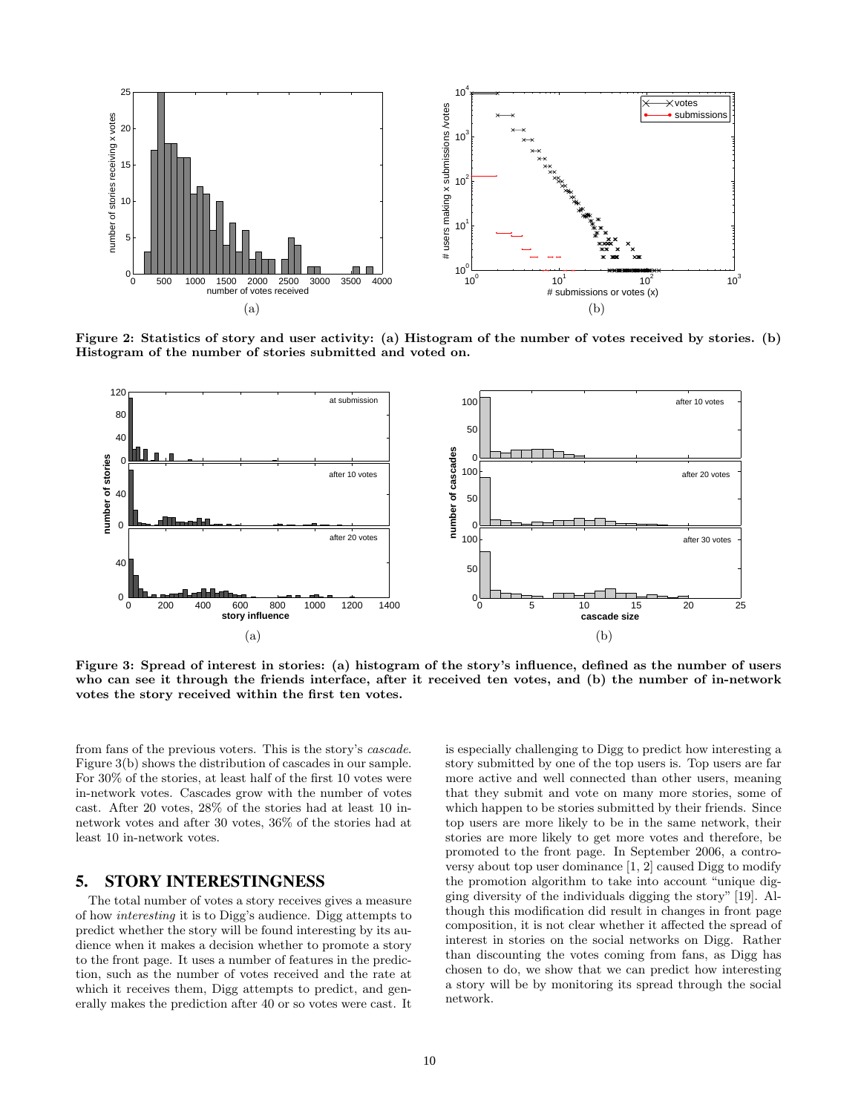

Figure 2: Statistics of story and user activity: (a) Histogram of the number of votes received by stories. (b) Histogram of the number of stories submitted and voted on.



Figure 3: Spread of interest in stories: (a) histogram of the story's influence, defined as the number of users who can see it through the friends interface, after it received ten votes, and (b) the number of in-network votes the story received within the first ten votes.

from fans of the previous voters. This is the story's cascade. Figure 3(b) shows the distribution of cascades in our sample. For 30% of the stories, at least half of the first 10 votes were in-network votes. Cascades grow with the number of votes cast. After 20 votes, 28% of the stories had at least 10 innetwork votes and after 30 votes, 36% of the stories had at least 10 in-network votes.

## 5. STORY INTERESTINGNESS

The total number of votes a story receives gives a measure of how interesting it is to Digg's audience. Digg attempts to predict whether the story will be found interesting by its audience when it makes a decision whether to promote a story to the front page. It uses a number of features in the prediction, such as the number of votes received and the rate at which it receives them, Digg attempts to predict, and generally makes the prediction after 40 or so votes were cast. It is especially challenging to Digg to predict how interesting a story submitted by one of the top users is. Top users are far more active and well connected than other users, meaning that they submit and vote on many more stories, some of which happen to be stories submitted by their friends. Since top users are more likely to be in the same network, their stories are more likely to get more votes and therefore, be promoted to the front page. In September 2006, a controversy about top user dominance [1, 2] caused Digg to modify the promotion algorithm to take into account "unique digging diversity of the individuals digging the story" [19]. Although this modification did result in changes in front page composition, it is not clear whether it affected the spread of interest in stories on the social networks on Digg. Rather than discounting the votes coming from fans, as Digg has chosen to do, we show that we can predict how interesting a story will be by monitoring its spread through the social network.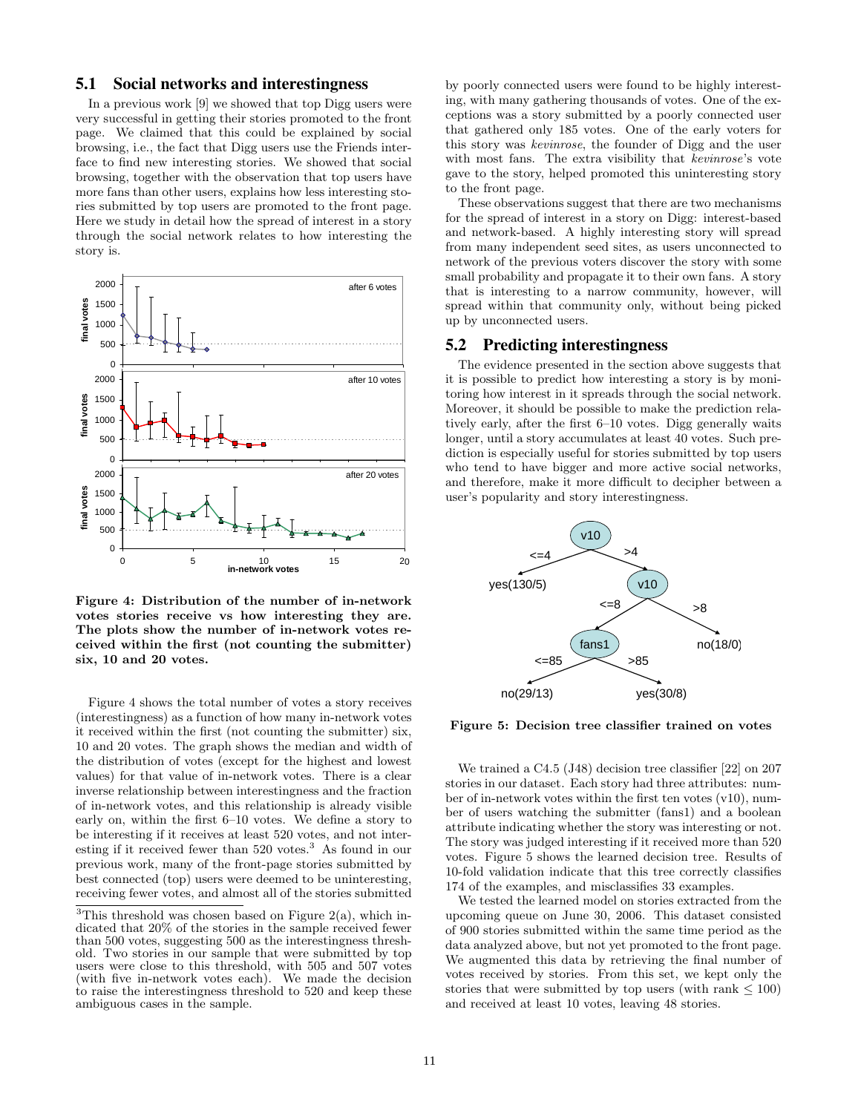## 5.1 Social networks and interestingness

In a previous work [9] we showed that top Digg users were very successful in getting their stories promoted to the front page. We claimed that this could be explained by social browsing, i.e., the fact that Digg users use the Friends interface to find new interesting stories. We showed that social browsing, together with the observation that top users have more fans than other users, explains how less interesting stories submitted by top users are promoted to the front page. Here we study in detail how the spread of interest in a story through the social network relates to how interesting the story is.



Figure 4: Distribution of the number of in-network votes stories receive vs how interesting they are. The plots show the number of in-network votes received within the first (not counting the submitter) six, 10 and 20 votes.

Figure 4 shows the total number of votes a story receives (interestingness) as a function of how many in-network votes it received within the first (not counting the submitter) six, 10 and 20 votes. The graph shows the median and width of the distribution of votes (except for the highest and lowest values) for that value of in-network votes. There is a clear inverse relationship between interestingness and the fraction of in-network votes, and this relationship is already visible early on, within the first 6–10 votes. We define a story to be interesting if it receives at least 520 votes, and not interesting if it received fewer than 520 votes.<sup>3</sup> As found in our previous work, many of the front-page stories submitted by best connected (top) users were deemed to be uninteresting, receiving fewer votes, and almost all of the stories submitted

by poorly connected users were found to be highly interesting, with many gathering thousands of votes. One of the exceptions was a story submitted by a poorly connected user that gathered only 185 votes. One of the early voters for this story was kevinrose, the founder of Digg and the user with most fans. The extra visibility that kevinrose's vote gave to the story, helped promoted this uninteresting story to the front page.

These observations suggest that there are two mechanisms for the spread of interest in a story on Digg: interest-based and network-based. A highly interesting story will spread from many independent seed sites, as users unconnected to network of the previous voters discover the story with some small probability and propagate it to their own fans. A story that is interesting to a narrow community, however, will spread within that community only, without being picked up by unconnected users.

#### 5.2 Predicting interestingness

The evidence presented in the section above suggests that it is possible to predict how interesting a story is by monitoring how interest in it spreads through the social network. Moreover, it should be possible to make the prediction relatively early, after the first 6–10 votes. Digg generally waits longer, until a story accumulates at least 40 votes. Such prediction is especially useful for stories submitted by top users who tend to have bigger and more active social networks, and therefore, make it more difficult to decipher between a user's popularity and story interestingness.



Figure 5: Decision tree classifier trained on votes

We trained a C4.5 (J48) decision tree classifier [22] on 207 stories in our dataset. Each story had three attributes: number of in-network votes within the first ten votes (v10), number of users watching the submitter (fans1) and a boolean attribute indicating whether the story was interesting or not. The story was judged interesting if it received more than 520 votes. Figure 5 shows the learned decision tree. Results of 10-fold validation indicate that this tree correctly classifies 174 of the examples, and misclassifies 33 examples.

We tested the learned model on stories extracted from the upcoming queue on June 30, 2006. This dataset consisted of 900 stories submitted within the same time period as the data analyzed above, but not yet promoted to the front page. We augmented this data by retrieving the final number of votes received by stories. From this set, we kept only the stories that were submitted by top users (with rank  $\leq 100$ ) and received at least 10 votes, leaving 48 stories.

<sup>&</sup>lt;sup>3</sup>This threshold was chosen based on Figure 2(a), which indicated that 20% of the stories in the sample received fewer than 500 votes, suggesting 500 as the interestingness threshold. Two stories in our sample that were submitted by top users were close to this threshold, with 505 and 507 votes (with five in-network votes each). to raise the interestingness threshold to 520 and keep these ambiguous cases in the sample.